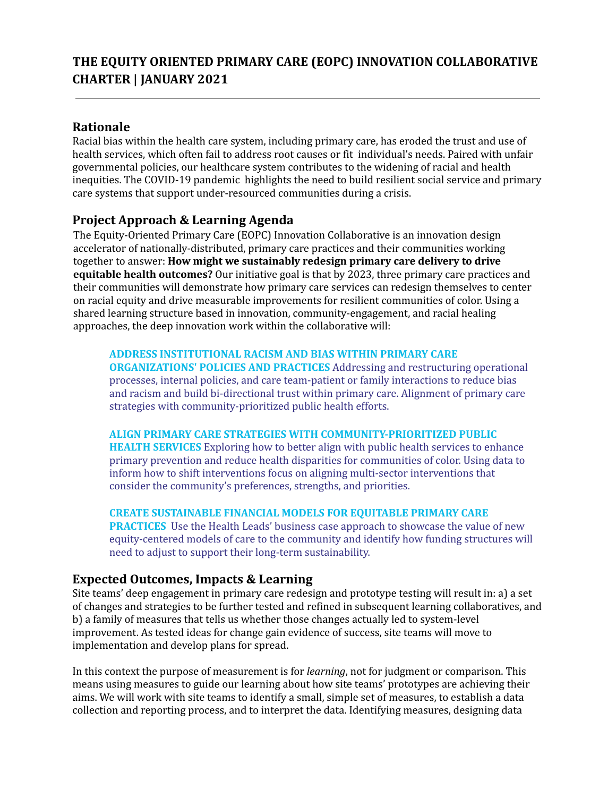# **Rationale**

Racial bias within the health care system, including primary care, has eroded the trust and use of health services, which often fail to address root causes or fit individual's needs. Paired with unfair governmental policies, our healthcare system contributes to the widening of racial and health inequities. The COVID-19 pandemic highlights the need to build resilient social service and primary care systems that support under-resourced communities during a crisis.

# **Project Approach & Learning Agenda**

The Equity-Oriented Primary Care (EOPC) Innovation Collaborative is an innovation design accelerator of nationally-distributed, primary care practices and their communities working together to answer: **How might we sustainably redesign primary care delivery to drive equitable health outcomes?** Our initiative goal is that by 2023, three primary care practices and their communities will demonstrate how primary care services can redesign themselves to center on racial equity and drive measurable improvements for resilient communities of color. Using a shared learning structure based in innovation, community-engagement, and racial healing approaches, the deep innovation work within the collaborative will:

## **ADDRESS INSTITUTIONAL RACISM AND BIAS WITHIN PRIMARY CARE**

**ORGANIZATIONS' POLICIES AND PRACTICES** Addressing and restructuring operational processes, internal policies, and care team-patient or family interactions to reduce bias and racism and build bi-directional trust within primary care. Alignment of primary care strategies with community-prioritized public health efforts.

## **ALIGN PRIMARY CARE STRATEGIES WITH COMMUNITY-PRIORITIZED PUBLIC**

**HEALTH SERVICES** Exploring how to better align with public health services to enhance primary prevention and reduce health disparities for communities of color. Using data to inform how to shift interventions focus on aligning multi-sector interventions that consider the community's preferences, strengths, and priorities.

## **CREATE SUSTAINABLE FINANCIAL MODELS FOR EQUITABLE PRIMARY CARE**

**PRACTICES** Use the Health Leads' business case approach to showcase the value of new equity-centered models of care to the community and identify how funding structures will need to adjust to support their long-term sustainability.

# **Expected Outcomes, Impacts & Learning**

Site teams' deep engagement in primary care redesign and prototype testing will result in: a) a set of changes and strategies to be further tested and refined in subsequent learning collaboratives, and b) a family of measures that tells us whether those changes actually led to system-level improvement. As tested ideas for change gain evidence of success, site teams will move to implementation and develop plans for spread.

In this context the purpose of measurement is for *learning*, not for judgment or comparison. This means using measures to guide our learning about how site teams' prototypes are achieving their aims. We will work with site teams to identify a small, simple set of measures, to establish a data collection and reporting process, and to interpret the data. Identifying measures, designing data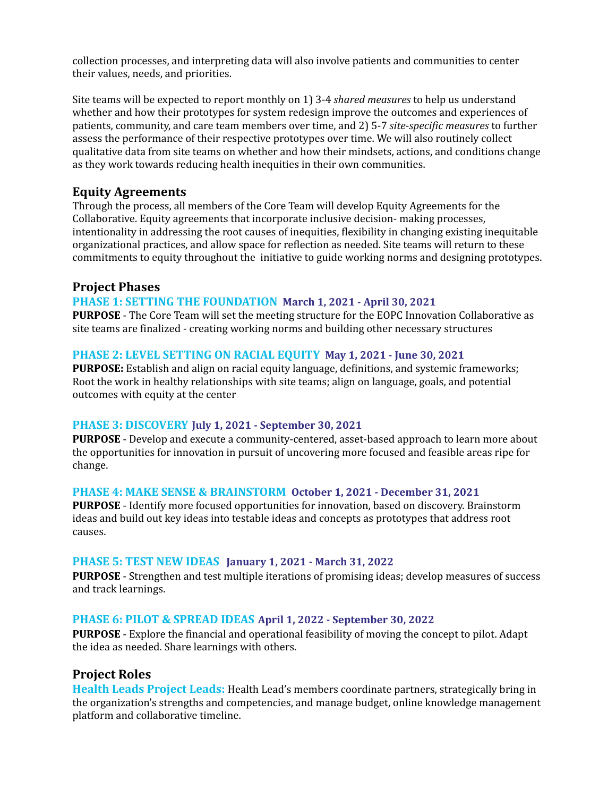collection processes, and interpreting data will also involve patients and communities to center their values, needs, and priorities.

Site teams will be expected to report monthly on 1) 3-4 *shared measures* to help us understand whether and how their prototypes for system redesign improve the outcomes and experiences of patients, community, and care team members over time, and 2) 5-7 *site-specific measures* to further assess the performance of their respective prototypes over time. We will also routinely collect qualitative data from site teams on whether and how their mindsets, actions, and conditions change as they work towards reducing health inequities in their own communities.

# **Equity Agreements**

Through the process, all members of the Core Team will develop Equity Agreements for the Collaborative. Equity agreements that incorporate inclusive decision- making processes, intentionality in addressing the root causes of inequities, flexibility in changing existing inequitable organizational practices, and allow space for reflection as needed. Site teams will return to these commitments to equity throughout the initiative to guide working norms and designing prototypes.

## **Project Phases**

### **PHASE 1: SETTING THE FOUNDATION March 1, 2021 - April 30, 2021**

**PURPOSE** - The Core Team will set the meeting structure for the EOPC Innovation Collaborative as site teams are finalized - creating working norms and building other necessary structures

### **PHASE 2: LEVEL SETTING ON RACIAL EQUITY May 1, 2021 - June 30, 2021**

**PURPOSE:** Establish and align on racial equity language, definitions, and systemic frameworks; Root the work in healthy relationships with site teams; align on language, goals, and potential outcomes with equity at the center

#### **PHASE 3: DISCOVERY July 1, 2021 - September 30, 2021**

**PURPOSE** - Develop and execute a community-centered, asset-based approach to learn more about the opportunities for innovation in pursuit of uncovering more focused and feasible areas ripe for change.

#### **PHASE 4: MAKE SENSE & BRAINSTORM October 1, 2021 - December 31, 2021**

**PURPOSE** - Identify more focused opportunities for innovation, based on discovery. Brainstorm ideas and build out key ideas into testable ideas and concepts as prototypes that address root causes.

#### **PHASE 5: TEST NEW IDEAS January 1, 2021 - March 31, 2022**

**PURPOSE** - Strengthen and test multiple iterations of promising ideas; develop measures of success and track learnings.

#### **PHASE 6: PILOT & SPREAD IDEAS April 1, 2022 - September 30, 2022**

**PURPOSE** - Explore the financial and operational feasibility of moving the concept to pilot. Adapt the idea as needed. Share learnings with others.

## **Project Roles**

**Health Leads Project Leads:** Health Lead's members coordinate partners, strategically bring in the organization's strengths and competencies, and manage budget, online knowledge management platform and collaborative timeline.